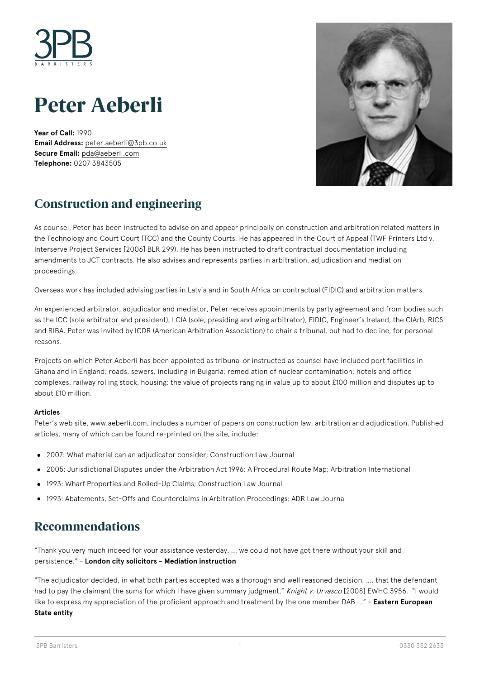

# **Peter Aeberli**

**Year of Call:** 1990 **Email Address:** [peter.aeberli@3pb.co.uk](mailto:peter.aeberli@3pb.co.uk) **Secure Email:** [pda@aeberli.com](mailto:pda@aeberli.com) **Telephone:** 0207 3843505



# **Construction and engineering**

As counsel, Peter has been instructed to advise on and appear principally on construction and arbitration related matters in the Technology and Court Court (TCC) and the County Courts. He has appeared in the Court of Appeal (TWF Printers Ltd v. Interserve Project Services [2006] BLR 299). He has been instructed to draft contractual documentation including amendments to JCT contracts. He also advises and represents parties in arbitration, adjudication and mediation proceedings.

Overseas work has included advising parties in Latvia and in South Africa on contractual (FIDIC) and arbitration matters.

An experienced arbitrator, adjudicator and mediator, Peter receives appointments by party agreement and from bodies such as the ICC (sole arbitrator and president), LCIA (sole, presiding and wing arbitrator), FIDIC, Engineer's Ireland, the CIArb, RICS and RIBA. Peter was invited by ICDR (American Arbitration Association) to chair a tribunal, but had to decline, for personal reasons.

Projects on which Peter Aeberli has been appointed as tribunal or instructed as counsel have included port facilities in Ghana and in England; roads, sewers, including in Bulgaria; remediation of nuclear contamination; hotels and office complexes, railway rolling stock, housing; the value of projects ranging in value up to about £100 million and disputes up to about £10 million.

#### **Articles**

Peter's web site, www.aeberli.com, includes a number of papers on construction law, arbitration and adjudication. Published articles, many of which can be found re-printed on the site, include:

- 2007: What material can an adjudicator consider; Construction Law Journal
- 2005: Jurisdictional Disputes under the Arbitration Act 1996: A Procedural Route Map; Arbitration International
- 1993: Wharf Properties and Rolled-Up Claims; Construction Law Journal
- 1993: Abatements, Set-Offs and Counterclaims in Arbitration Proceedings; ADR Law Journal

#### **Recommendations**

"Thank you very much indeed for your assistance yesterday. ... we could not have got there without your skill and persistence." - **London city solicitors - Mediation instruction**

"The adjudicator decided, in what both parties accepted was a thorough and well reasoned decision, …. that the defendant had to pay the claimant the sums for which I have given summary judgment." Knight v. Urvasco [2008] EWHC 3956. "I would like to express my appreciation of the proficient approach and treatment by the one member DAB ..." - **Eastern European State entity**